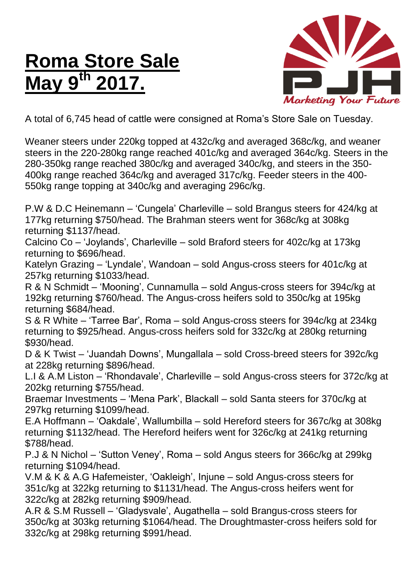## **Roma Store Sale May 9 th 2017.**



A total of 6,745 head of cattle were consigned at Roma's Store Sale on Tuesday.

Weaner steers under 220kg topped at 432c/kg and averaged 368c/kg, and weaner steers in the 220-280kg range reached 401c/kg and averaged 364c/kg. Steers in the 280-350kg range reached 380c/kg and averaged 340c/kg, and steers in the 350- 400kg range reached 364c/kg and averaged 317c/kg. Feeder steers in the 400- 550kg range topping at 340c/kg and averaging 296c/kg.

P.W & D.C Heinemann – 'Cungela' Charleville – sold Brangus steers for 424/kg at 177kg returning \$750/head. The Brahman steers went for 368c/kg at 308kg returning \$1137/head.

Calcino Co – 'Joylands', Charleville – sold Braford steers for 402c/kg at 173kg returning to \$696/head.

Katelyn Grazing – 'Lyndale', Wandoan – sold Angus-cross steers for 401c/kg at 257kg returning \$1033/head.

R & N Schmidt – 'Mooning', Cunnamulla – sold Angus-cross steers for 394c/kg at 192kg returning \$760/head. The Angus-cross heifers sold to 350c/kg at 195kg returning \$684/head.

S & R White – 'Tarree Bar', Roma – sold Angus-cross steers for 394c/kg at 234kg returning to \$925/head. Angus-cross heifers sold for 332c/kg at 280kg returning \$930/head.

D & K Twist – 'Juandah Downs', Mungallala – sold Cross-breed steers for 392c/kg at 228kg returning \$896/head.

L.I & A.M Liston – 'Rhondavale', Charleville – sold Angus-cross steers for 372c/kg at 202kg returning \$755/head.

Braemar Investments – 'Mena Park', Blackall – sold Santa steers for 370c/kg at 297kg returning \$1099/head.

E.A Hoffmann – 'Oakdale', Wallumbilla – sold Hereford steers for 367c/kg at 308kg returning \$1132/head. The Hereford heifers went for 326c/kg at 241kg returning \$788/head.

P.J & N Nichol – 'Sutton Veney', Roma – sold Angus steers for 366c/kg at 299kg returning \$1094/head.

V.M & K & A.G Hafemeister, 'Oakleigh', Injune – sold Angus-cross steers for 351c/kg at 322kg returning to \$1131/head. The Angus-cross heifers went for 322c/kg at 282kg returning \$909/head.

A.R & S.M Russell – 'Gladysvale', Augathella – sold Brangus-cross steers for 350c/kg at 303kg returning \$1064/head. The Droughtmaster-cross heifers sold for 332c/kg at 298kg returning \$991/head.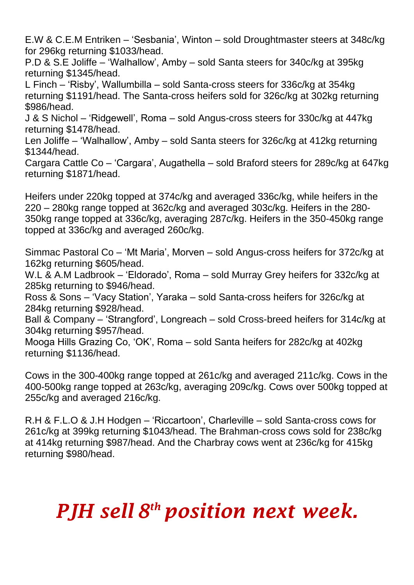E.W & C.E.M Entriken – 'Sesbania', Winton – sold Droughtmaster steers at 348c/kg for 296kg returning \$1033/head.

P.D & S.E Joliffe – 'Walhallow', Amby – sold Santa steers for 340c/kg at 395kg returning \$1345/head.

L Finch – 'Risby', Wallumbilla – sold Santa-cross steers for 336c/kg at 354kg returning \$1191/head. The Santa-cross heifers sold for 326c/kg at 302kg returning \$986/head.

J & S Nichol – 'Ridgewell', Roma – sold Angus-cross steers for 330c/kg at 447kg returning \$1478/head.

Len Joliffe – 'Walhallow', Amby – sold Santa steers for 326c/kg at 412kg returning \$1344/head.

Cargara Cattle Co – 'Cargara', Augathella – sold Braford steers for 289c/kg at 647kg returning \$1871/head.

Heifers under 220kg topped at 374c/kg and averaged 336c/kg, while heifers in the 220 – 280kg range topped at 362c/kg and averaged 303c/kg. Heifers in the 280- 350kg range topped at 336c/kg, averaging 287c/kg. Heifers in the 350-450kg range topped at 336c/kg and averaged 260c/kg.

Simmac Pastoral Co – 'Mt Maria', Morven – sold Angus-cross heifers for 372c/kg at 162kg returning \$605/head.

W.L & A.M Ladbrook – 'Eldorado', Roma – sold Murray Grey heifers for 332c/kg at 285kg returning to \$946/head.

Ross & Sons – 'Vacy Station', Yaraka – sold Santa-cross heifers for 326c/kg at 284kg returning \$928/head.

Ball & Company – 'Strangford', Longreach – sold Cross-breed heifers for 314c/kg at 304kg returning \$957/head.

Mooga Hills Grazing Co, 'OK', Roma – sold Santa heifers for 282c/kg at 402kg returning \$1136/head.

Cows in the 300-400kg range topped at 261c/kg and averaged 211c/kg. Cows in the 400-500kg range topped at 263c/kg, averaging 209c/kg. Cows over 500kg topped at 255c/kg and averaged 216c/kg.

R.H & F.L.O & J.H Hodgen – 'Riccartoon', Charleville – sold Santa-cross cows for 261c/kg at 399kg returning \$1043/head. The Brahman-cross cows sold for 238c/kg at 414kg returning \$987/head. And the Charbray cows went at 236c/kg for 415kg returning \$980/head.

## *PJH sell 8 th position next week.*